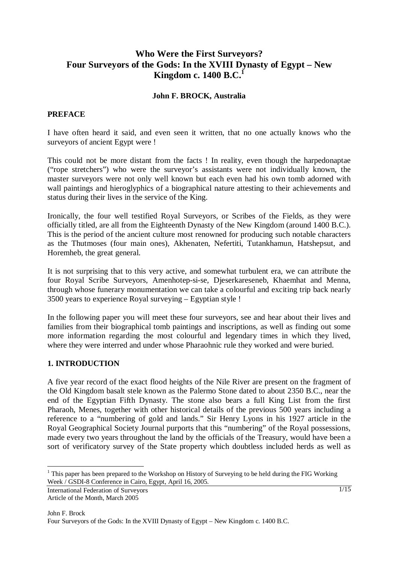# **Who Were the First Surveyors? Four Surveyors of the Gods: In the XVIII Dynasty of Egypt – New Kingdom c. 1400 B.C.**<sup>1</sup>

#### **John F. BROCK, Australia**

#### **PREFACE**

I have often heard it said, and even seen it written, that no one actually knows who the surveyors of ancient Egypt were !

This could not be more distant from the facts ! In reality, even though the harpedonaptae ("rope stretchers") who were the surveyor's assistants were not individually known, the master surveyors were not only well known but each even had his own tomb adorned with wall paintings and hieroglyphics of a biographical nature attesting to their achievements and status during their lives in the service of the King.

Ironically, the four well testified Royal Surveyors, or Scribes of the Fields, as they were officially titled, are all from the Eighteenth Dynasty of the New Kingdom (around 1400 B.C.). This is the period of the ancient culture most renowned for producing such notable characters as the Thutmoses (four main ones), Akhenaten, Nefertiti, Tutankhamun, Hatshepsut, and Horemheb, the great general.

It is not surprising that to this very active, and somewhat turbulent era, we can attribute the four Royal Scribe Surveyors, Amenhotep-si-se, Djeserkareseneb, Khaemhat and Menna, through whose funerary monumentation we can take a colourful and exciting trip back nearly 3500 years to experience Royal surveying – Egyptian style !

In the following paper you will meet these four surveyors, see and hear about their lives and families from their biographical tomb paintings and inscriptions, as well as finding out some more information regarding the most colourful and legendary times in which they lived, where they were interred and under whose Pharaohnic rule they worked and were buried.

#### **1. INTRODUCTION**

A five year record of the exact flood heights of the Nile River are present on the fragment of the Old Kingdom basalt stele known as the Palermo Stone dated to about 2350 B.C., near the end of the Egyptian Fifth Dynasty. The stone also bears a full King List from the first Pharaoh, Menes, together with other historical details of the previous 500 years including a reference to a "numbering of gold and lands." Sir Henry Lyons in his 1927 article in the Royal Geographical Society Journal purports that this "numbering" of the Royal possessions, made every two years throughout the land by the officials of the Treasury, would have been a sort of verificatory survey of the State property which doubtless included herds as well as

<sup>&</sup>lt;sup>1</sup> This paper has been prepared to the Workshop on History of Surveying to be held during the FIG Working Week / GSDI-8 Conference in Cairo, Egypt, April 16, 2005.

International Federation of Surveyors Article of the Month, March 2005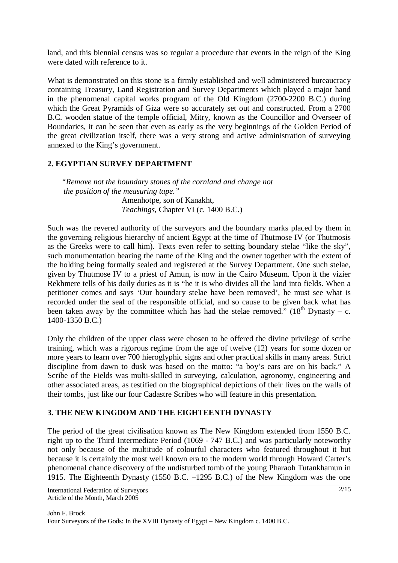land, and this biennial census was so regular a procedure that events in the reign of the King were dated with reference to it.

What is demonstrated on this stone is a firmly established and well administered bureaucracy containing Treasury, Land Registration and Survey Departments which played a major hand in the phenomenal capital works program of the Old Kingdom (2700-2200 B.C.) during which the Great Pyramids of Giza were so accurately set out and constructed. From a 2700 B.C. wooden statue of the temple official, Mitry, known as the Councillor and Overseer of Boundaries, it can be seen that even as early as the very beginnings of the Golden Period of the great civilization itself, there was a very strong and active administration of surveying annexed to the King's government.

### **2. EGYPTIAN SURVEY DEPARTMENT**

*"Remove not the boundary stones of the cornland and change not the position of the measuring tape."* Amenhotpe, son of Kanakht, *Teachings*, Chapter VI (c. 1400 B.C.)

Such was the revered authority of the surveyors and the boundary marks placed by them in the governing religious hierarchy of ancient Egypt at the time of Thutmose IV (or Thutmosis as the Greeks were to call him). Texts even refer to setting boundary stelae "like the sky", such monumentation bearing the name of the King and the owner together with the extent of the holding being formally sealed and registered at the Survey Department. One such stelae, given by Thutmose IV to a priest of Amun, is now in the Cairo Museum. Upon it the vizier Rekhmere tells of his daily duties as it is "he it is who divides all the land into fields. When a petitioner comes and says 'Our boundary stelae have been removed', he must see what is recorded under the seal of the responsible official, and so cause to be given back what has been taken away by the committee which has had the stelae removed."  $(18<sup>th</sup> Dynastv - c$ . 1400-1350 B.C.)

Only the children of the upper class were chosen to be offered the divine privilege of scribe training, which was a rigorous regime from the age of twelve (12) years for some dozen or more years to learn over 700 hieroglyphic signs and other practical skills in many areas. Strict discipline from dawn to dusk was based on the motto: "a boy's ears are on his back." A Scribe of the Fields was multi-skilled in surveying, calculation, agronomy, engineering and other associated areas, as testified on the biographical depictions of their lives on the walls of their tombs, just like our four Cadastre Scribes who will feature in this presentation.

### **3. THE NEW KINGDOM AND THE EIGHTEENTH DYNASTY**

The period of the great civilisation known as The New Kingdom extended from 1550 B.C. right up to the Third Intermediate Period (1069 - 747 B.C.) and was particularly noteworthy not only because of the multitude of colourful characters who featured throughout it but because it is certainly the most well known era to the modern world through Howard Carter's phenomenal chance discovery of the undisturbed tomb of the young Pharaoh Tutankhamun in 1915. The Eighteenth Dynasty (1550 B.C. –1295 B.C.) of the New Kingdom was the one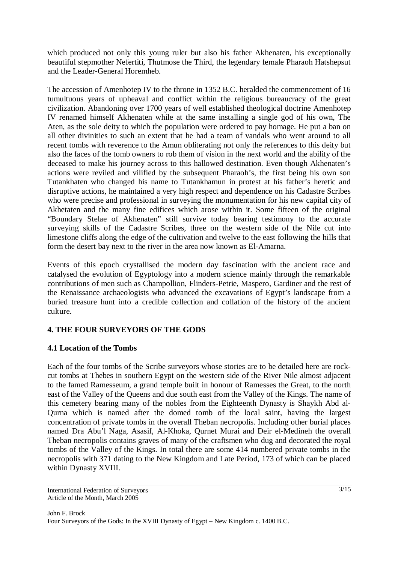which produced not only this young ruler but also his father Akhenaten, his exceptionally beautiful stepmother Nefertiti, Thutmose the Third, the legendary female Pharaoh Hatshepsut and the Leader-General Horemheb.

The accession of Amenhotep IV to the throne in 1352 B.C. heralded the commencement of 16 tumultuous years of upheaval and conflict within the religious bureaucracy of the great civilization. Abandoning over 1700 years of well established theological doctrine Amenhotep IV renamed himself Akhenaten while at the same installing a single god of his own, The Aten, as the sole deity to which the population were ordered to pay homage. He put a ban on all other divinities to such an extent that he had a team of vandals who went around to all recent tombs with reverence to the Amun obliterating not only the references to this deity but also the faces of the tomb owners to rob them of vision in the next world and the ability of the deceased to make his journey across to this hallowed destination. Even though Akhenaten's actions were reviled and vilified by the subsequent Pharaoh's, the first being his own son Tutankhaten who changed his name to Tutankhamun in protest at his father's heretic and disruptive actions, he maintained a very high respect and dependence on his Cadastre Scribes who were precise and professional in surveying the monumentation for his new capital city of Akhetaten and the many fine edifices which arose within it. Some fifteen of the original "Boundary Stelae of Akhenaten" still survive today bearing testimony to the accurate surveying skills of the Cadastre Scribes, three on the western side of the Nile cut into limestone cliffs along the edge of the cultivation and twelve to the east following the hills that form the desert bay next to the river in the area now known as El-Amarna.

Events of this epoch crystallised the modern day fascination with the ancient race and catalysed the evolution of Egyptology into a modern science mainly through the remarkable contributions of men such as Champollion, Flinders-Petrie, Maspero, Gardiner and the rest of the Renaissance archaeologists who advanced the excavations of Egypt's landscape from a buried treasure hunt into a credible collection and collation of the history of the ancient culture.

# **4. THE FOUR SURVEYORS OF THE GODS**

### **4.1 Location of the Tombs**

Each of the four tombs of the Scribe surveyors whose stories are to be detailed here are rockcut tombs at Thebes in southern Egypt on the western side of the River Nile almost adjacent to the famed Ramesseum, a grand temple built in honour of Ramesses the Great, to the north east of the Valley of the Queens and due south east from the Valley of the Kings. The name of this cemetery bearing many of the nobles from the Eighteenth Dynasty is Shaykh Abd al-Qurna which is named after the domed tomb of the local saint, having the largest concentration of private tombs in the overall Theban necropolis. Including other burial places named Dra Abu'l Naga, Asasif, Al-Khoka, Qurnet Murai and Deir el-Medineh the overall Theban necropolis contains graves of many of the craftsmen who dug and decorated the royal tombs of the Valley of the Kings. In total there are some 414 numbered private tombs in the necropolis with 371 dating to the New Kingdom and Late Period, 173 of which can be placed within Dynasty XVIII.

International Federation of Surveyors Article of the Month, March 2005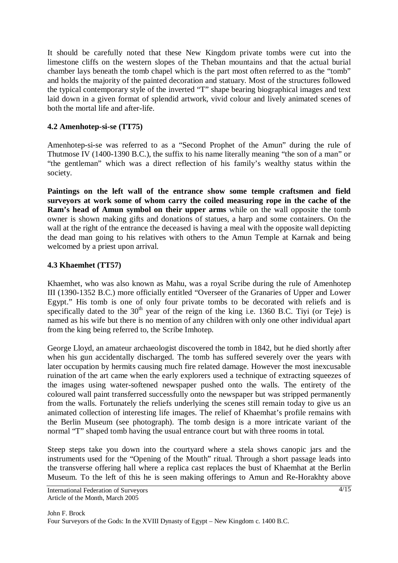It should be carefully noted that these New Kingdom private tombs were cut into the limestone cliffs on the western slopes of the Theban mountains and that the actual burial chamber lays beneath the tomb chapel which is the part most often referred to as the "tomb" and holds the majority of the painted decoration and statuary. Most of the structures followed the typical contemporary style of the inverted "T" shape bearing biographical images and text laid down in a given format of splendid artwork, vivid colour and lively animated scenes of both the mortal life and after-life.

## **4.2 Amenhotep-si-se (TT75)**

Amenhotep-si-se was referred to as a "Second Prophet of the Amun" during the rule of Thutmose IV (1400-1390 B.C.), the suffix to his name literally meaning "the son of a man" or "the gentleman" which was a direct reflection of his family's wealthy status within the society.

**Paintings on the left wall of the entrance show some temple craftsmen and field surveyors at work some of whom carry the coiled measuring rope in the cache of the Ram's head of Amun symbol on their upper arms** while on the wall opposite the tomb owner is shown making gifts and donations of statues, a harp and some containers. On the wall at the right of the entrance the deceased is having a meal with the opposite wall depicting the dead man going to his relatives with others to the Amun Temple at Karnak and being welcomed by a priest upon arrival.

### **4.3 Khaemhet (TT57)**

Khaemhet, who was also known as Mahu, was a royal Scribe during the rule of Amenhotep III (1390-1352 B.C.) more officially entitled "Overseer of the Granaries of Upper and Lower Egypt." His tomb is one of only four private tombs to be decorated with reliefs and is specifically dated to the  $30<sup>th</sup>$  year of the reign of the king i.e. 1360 B.C. Tiyi (or Teje) is named as his wife but there is no mention of any children with only one other individual apart from the king being referred to, the Scribe Imhotep.

George Lloyd, an amateur archaeologist discovered the tomb in 1842, but he died shortly after when his gun accidentally discharged. The tomb has suffered severely over the years with later occupation by hermits causing much fire related damage. However the most inexcusable ruination of the art came when the early explorers used a technique of extracting squeezes of the images using water-softened newspaper pushed onto the walls. The entirety of the coloured wall paint transferred successfully onto the newspaper but was stripped permanently from the walls. Fortunately the reliefs underlying the scenes still remain today to give us an animated collection of interesting life images. The relief of Khaemhat's profile remains with the Berlin Museum (see photograph). The tomb design is a more intricate variant of the normal "T" shaped tomb having the usual entrance court but with three rooms in total.

Steep steps take you down into the courtyard where a stela shows canopic jars and the instruments used for the "Opening of the Mouth" ritual. Through a short passage leads into the transverse offering hall where a replica cast replaces the bust of Khaemhat at the Berlin Museum. To the left of this he is seen making offerings to Amun and Re-Horakhty above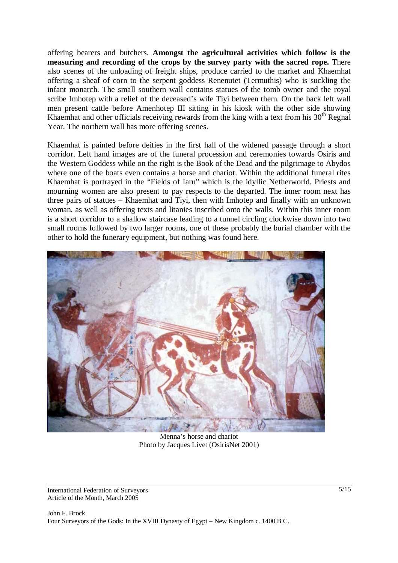offering bearers and butchers. **Amongst the agricultural activities which follow is the measuring and recording of the crops by the survey party with the sacred rope.** There also scenes of the unloading of freight ships, produce carried to the market and Khaemhat offering a sheaf of corn to the serpent goddess Renenutet (Termuthis) who is suckling the infant monarch. The small southern wall contains statues of the tomb owner and the royal scribe Imhotep with a relief of the deceased's wife Tiyi between them. On the back left wall men present cattle before Amenhotep III sitting in his kiosk with the other side showing Khaemhat and other officials receiving rewards from the king with a text from his  $30<sup>th</sup>$  Regnal Year. The northern wall has more offering scenes.

Khaemhat is painted before deities in the first hall of the widened passage through a short corridor. Left hand images are of the funeral procession and ceremonies towards Osiris and the Western Goddess while on the right is the Book of the Dead and the pilgrimage to Abydos where one of the boats even contains a horse and chariot. Within the additional funeral rites Khaemhat is portrayed in the "Fields of Iaru" which is the idyllic Netherworld. Priests and mourning women are also present to pay respects to the departed. The inner room next has three pairs of statues – Khaemhat and Tiyi, then with Imhotep and finally with an unknown woman, as well as offering texts and litanies inscribed onto the walls. Within this inner room is a short corridor to a shallow staircase leading to a tunnel circling clockwise down into two small rooms followed by two larger rooms, one of these probably the burial chamber with the other to hold the funerary equipment, but nothing was found here.



Menna's horse and chariot Photo by Jacques Livet (OsirisNet 2001)

International Federation of Surveyors Article of the Month, March 2005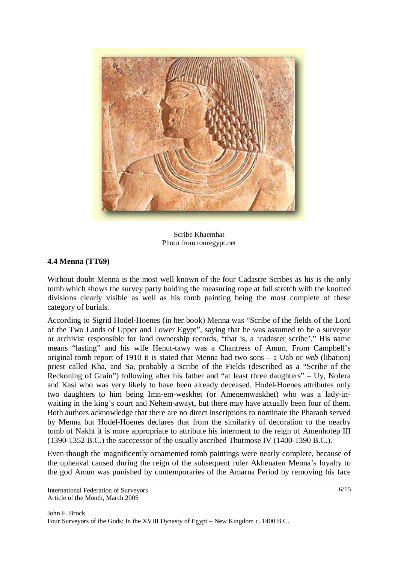

Scribe Khaemhat Photo from touregypt.net

# **4.4 Menna (TT69)**

Without doubt Menna is the most well known of the four Cadastre Scribes as his is the only tomb which shows the survey party holding the measuring rope at full stretch with the knotted divisions clearly visible as well as his tomb painting being the most complete of these category of burials.

According to Sigrid Hodel-Hoenes (in her book) Menna was "Scribe of the fields of the Lord of the Two Lands of Upper and Lower Egypt", saying that he was assumed to be a surveyor or archivist responsible for land ownership records, "that is, a 'cadaster scribe'." His name means "lasting" and his wife Henut-tawy was a Chantress of Amun. From Campbell's original tomb report of 1910 it is stated that Menna had two sons – a Uab or *web* (libation) priest called Kha, and Sa, probably a Scribe of the Fields (described as a "Scribe of the Reckoning of Grain") following after his father and "at least three daughters" – Uy, Nofera and Kasi who was very likely to have been already deceased. Hodel-Hoenes attributes only two daughters to him being Imn-em-weskhet (or Amenemwaskhet) who was a lady-inwaiting in the king's court and Nehem-awayt, but there may have actually been four of them. Both authors acknowledge that there are no direct inscriptions to nominate the Pharaoh served by Menna but Hodel-Hoenes declares that from the similarity of decoration to the nearby tomb of Nakht it is more appropriate to attribute his interment to the reign of Amenhotep III (1390-1352 B.C.) the succcessor of the usually ascribed Thutmose IV (1400-1390 B.C.).

Even though the magnificently ornamented tomb paintings were nearly complete, because of the upheaval caused during the reign of the subsequent ruler Akhenaten Menna's loyalty to the god Amun was punished by contemporaries of the Amarna Period by removing his face

International Federation of Surveyors Article of the Month, March 2005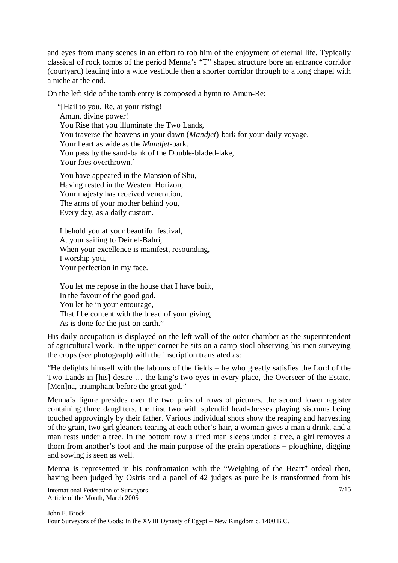and eyes from many scenes in an effort to rob him of the enjoyment of eternal life. Typically classical of rock tombs of the period Menna's "T" shaped structure bore an entrance corridor (courtyard) leading into a wide vestibule then a shorter corridor through to a long chapel with a niche at the end.

On the left side of the tomb entry is composed a hymn to Amun-Re:

 "[Hail to you, Re, at your rising! Amun, divine power! You Rise that you illuminate the Two Lands, You traverse the heavens in your dawn (*Mandjet*)-bark for your daily voyage, Your heart as wide as the *Mandjet*-bark. You pass by the sand-bank of the Double-bladed-lake, Your foes overthrown.]

 You have appeared in the Mansion of Shu, Having rested in the Western Horizon, Your majesty has received veneration, The arms of your mother behind you, Every day, as a daily custom.

 I behold you at your beautiful festival, At your sailing to Deir el-Bahri, When your excellence is manifest, resounding, I worship you, Your perfection in my face.

 You let me repose in the house that I have built, In the favour of the good god. You let be in your entourage, That I be content with the bread of your giving, As is done for the just on earth."

His daily occupation is displayed on the left wall of the outer chamber as the superintendent of agricultural work. In the upper corner he sits on a camp stool observing his men surveying the crops (see photograph) with the inscription translated as:

"He delights himself with the labours of the fields – he who greatly satisfies the Lord of the Two Lands in [his] desire … the king's two eyes in every place, the Overseer of the Estate, [Men]na, triumphant before the great god."

Menna's figure presides over the two pairs of rows of pictures, the second lower register containing three daughters, the first two with splendid head-dresses playing sistrums being touched approvingly by their father. Various individual shots show the reaping and harvesting of the grain, two girl gleaners tearing at each other's hair, a woman gives a man a drink, and a man rests under a tree. In the bottom row a tired man sleeps under a tree, a girl removes a thorn from another's foot and the main purpose of the grain operations – ploughing, digging and sowing is seen as well.

Menna is represented in his confrontation with the "Weighing of the Heart" ordeal then, having been judged by Osiris and a panel of 42 judges as pure he is transformed from his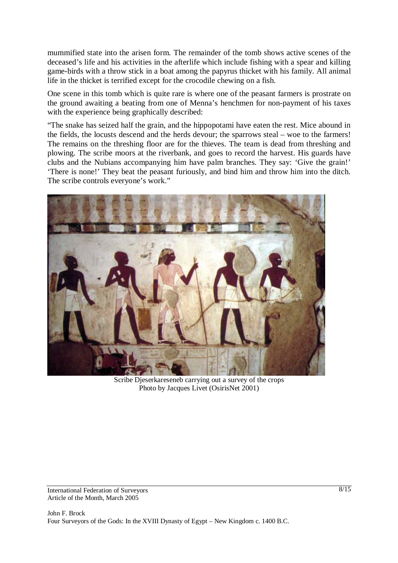mummified state into the arisen form. The remainder of the tomb shows active scenes of the deceased's life and his activities in the afterlife which include fishing with a spear and killing game-birds with a throw stick in a boat among the papyrus thicket with his family. All animal life in the thicket is terrified except for the crocodile chewing on a fish.

One scene in this tomb which is quite rare is where one of the peasant farmers is prostrate on the ground awaiting a beating from one of Menna's henchmen for non-payment of his taxes with the experience being graphically described:

"The snake has seized half the grain, and the hippopotami have eaten the rest. Mice abound in the fields, the locusts descend and the herds devour; the sparrows steal – woe to the farmers! The remains on the threshing floor are for the thieves. The team is dead from threshing and plowing. The scribe moors at the riverbank, and goes to record the harvest. His guards have clubs and the Nubians accompanying him have palm branches. They say: 'Give the grain!' 'There is none!' They beat the peasant furiously, and bind him and throw him into the ditch. The scribe controls everyone's work."



Scribe Djeserkareseneb carrying out a survey of the crops Photo by Jacques Livet (OsirisNet 2001)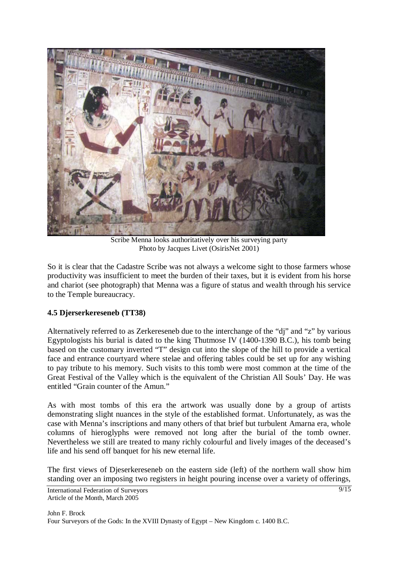

Scribe Menna looks authoritatively over his surveying party Photo by Jacques Livet (OsirisNet 2001)

So it is clear that the Cadastre Scribe was not always a welcome sight to those farmers whose productivity was insufficient to meet the burden of their taxes, but it is evident from his horse and chariot (see photograph) that Menna was a figure of status and wealth through his service to the Temple bureaucracy.

### **4.5 Djerserkereseneb (TT38)**

Alternatively referred to as Zerkereseneb due to the interchange of the "dj" and "z" by various Egyptologists his burial is dated to the king Thutmose IV (1400-1390 B.C.), his tomb being based on the customary inverted "T" design cut into the slope of the hill to provide a vertical face and entrance courtyard where stelae and offering tables could be set up for any wishing to pay tribute to his memory. Such visits to this tomb were most common at the time of the Great Festival of the Valley which is the equivalent of the Christian All Souls' Day. He was entitled "Grain counter of the Amun."

As with most tombs of this era the artwork was usually done by a group of artists demonstrating slight nuances in the style of the established format. Unfortunately, as was the case with Menna's inscriptions and many others of that brief but turbulent Amarna era, whole columns of hieroglyphs were removed not long after the burial of the tomb owner. Nevertheless we still are treated to many richly colourful and lively images of the deceased's life and his send off banquet for his new eternal life.

The first views of Djeserkereseneb on the eastern side (left) of the northern wall show him standing over an imposing two registers in height pouring incense over a variety of offerings,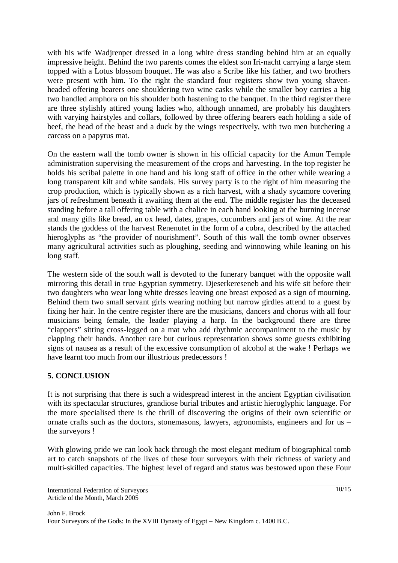with his wife Wadjrenpet dressed in a long white dress standing behind him at an equally impressive height. Behind the two parents comes the eldest son Iri-nacht carrying a large stem topped with a Lotus blossom bouquet. He was also a Scribe like his father, and two brothers were present with him. To the right the standard four registers show two young shavenheaded offering bearers one shouldering two wine casks while the smaller boy carries a big two handled amphora on his shoulder both hastening to the banquet. In the third register there are three stylishly attired young ladies who, although unnamed, are probably his daughters with varying hairstyles and collars, followed by three offering bearers each holding a side of beef, the head of the beast and a duck by the wings respectively, with two men butchering a carcass on a papyrus mat.

On the eastern wall the tomb owner is shown in his official capacity for the Amun Temple administration supervising the measurement of the crops and harvesting. In the top register he holds his scribal palette in one hand and his long staff of office in the other while wearing a long transparent kilt and white sandals. His survey party is to the right of him measuring the crop production, which is typically shown as a rich harvest, with a shady sycamore covering jars of refreshment beneath it awaiting them at the end. The middle register has the deceased standing before a tall offering table with a chalice in each hand looking at the burning incense and many gifts like bread, an ox head, dates, grapes, cucumbers and jars of wine. At the rear stands the goddess of the harvest Renenutet in the form of a cobra, described by the attached hieroglyphs as "the provider of nourishment". South of this wall the tomb owner observes many agricultural activities such as ploughing, seeding and winnowing while leaning on his long staff.

The western side of the south wall is devoted to the funerary banquet with the opposite wall mirroring this detail in true Egyptian symmetry. Djeserkereseneb and his wife sit before their two daughters who wear long white dresses leaving one breast exposed as a sign of mourning. Behind them two small servant girls wearing nothing but narrow girdles attend to a guest by fixing her hair. In the centre register there are the musicians, dancers and chorus with all four musicians being female, the leader playing a harp. In the background there are three "clappers" sitting cross-legged on a mat who add rhythmic accompaniment to the music by clapping their hands. Another rare but curious representation shows some guests exhibiting signs of nausea as a result of the excessive consumption of alcohol at the wake ! Perhaps we have learnt too much from our illustrious predecessors !

### **5. CONCLUSION**

It is not surprising that there is such a widespread interest in the ancient Egyptian civilisation with its spectacular structures, grandiose burial tributes and artistic hieroglyphic language. For the more specialised there is the thrill of discovering the origins of their own scientific or ornate crafts such as the doctors, stonemasons, lawyers, agronomists, engineers and for us – the surveyors !

With glowing pride we can look back through the most elegant medium of biographical tomb art to catch snapshots of the lives of these four surveyors with their richness of variety and multi-skilled capacities. The highest level of regard and status was bestowed upon these Four

International Federation of Surveyors Article of the Month, March 2005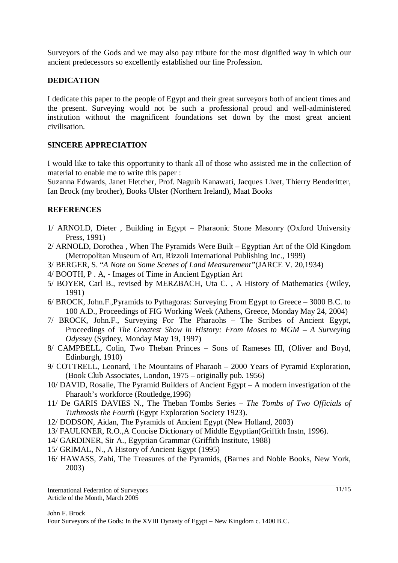Surveyors of the Gods and we may also pay tribute for the most dignified way in which our ancient predecessors so excellently established our fine Profession.

#### **DEDICATION**

I dedicate this paper to the people of Egypt and their great surveyors both of ancient times and the present. Surveying would not be such a professional proud and well-administered institution without the magnificent foundations set down by the most great ancient civilisation.

#### **SINCERE APPRECIATION**

I would like to take this opportunity to thank all of those who assisted me in the collection of material to enable me to write this paper :

Suzanna Edwards, Janet Fletcher, Prof. Naguib Kanawati, Jacques Livet, Thierry Benderitter, Ian Brock (my brother), Books Ulster (Northern Ireland), Maat Books

#### **REFERENCES**

- 1/ ARNOLD, Dieter , Building in Egypt Pharaonic Stone Masonry (Oxford University Press, 1991)
- 2/ ARNOLD, Dorothea , When The Pyramids Were Built Egyptian Art of the Old Kingdom (Metropolitan Museum of Art, Rizzoli International Publishing Inc., 1999)
- 3/ BERGER, S. "*A Note on Some Scenes of Land Measurement"*(JARCE V. 20,1934)
- 4/ BOOTH, P . A, Images of Time in Ancient Egyptian Art
- 5/ BOYER, Carl B., revised by MERZBACH, Uta C. , A History of Mathematics (Wiley, 1991)
- 6/ BROCK, John.F.,Pyramids to Pythagoras: Surveying From Egypt to Greece 3000 B.C. to 100 A.D., Proceedings of FIG Working Week (Athens, Greece, Monday May 24, 2004)
- 7/ BROCK, John.F., Surveying For The Pharaohs The Scribes of Ancient Egypt, Proceedings of *The Greatest Show in History: From Moses to MGM – A Surveying Odyssey* (Sydney, Monday May 19, 1997)
- 8/ CAMPBELL, Colin, Two Theban Princes Sons of Rameses III, (Oliver and Boyd, Edinburgh, 1910)
- 9/ COTTRELL, Leonard, The Mountains of Pharaoh 2000 Years of Pyramid Exploration, (Book Club Associates, London, 1975 – originally pub. 1956)
- 10/ DAVID, Rosalie, The Pyramid Builders of Ancient Egypt A modern investigation of the Pharaoh's workforce (Routledge,1996)
- 11/ De GARIS DAVIES N., The Theban Tombs Series *The Tombs of Two Officials of Tuthmosis the Fourth* (Egypt Exploration Society 1923).
- 12/ DODSON, Aidan, The Pyramids of Ancient Egypt (New Holland, 2003)
- 13/ FAULKNER, R.O.,A Concise Dictionary of Middle Egyptian(Griffith Instn, 1996).
- 14/ GARDINER, Sir A., Egyptian Grammar (Griffith Institute, 1988)
- 15/ GRIMAL, N., A History of Ancient Egypt (1995)
- 16/ HAWASS, Zahi, The Treasures of the Pyramids, (Barnes and Noble Books, New York, 2003)

International Federation of Surveyors Article of the Month, March 2005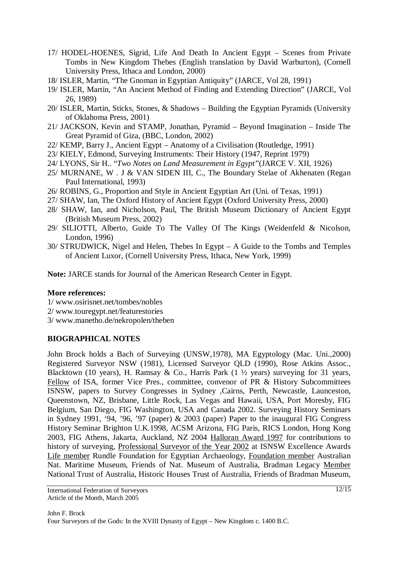- 17/ HODEL-HOENES, Sigrid, Life And Death In Ancient Egypt Scenes from Private Tombs in New Kingdom Thebes (English translation by David Warburton), (Cornell University Press, Ithaca and London, 2000)
- 18/ ISLER, Martin, "The Gnoman in Egyptian Antiquity" (JARCE, Vol 28, 1991)
- 19/ ISLER, Martin, "An Ancient Method of Finding and Extending Direction" (JARCE, Vol 26, 1989)
- 20/ ISLER, Martin, Sticks, Stones, & Shadows Building the Egyptian Pyramids (University of Oklahoma Press, 2001)
- 21/ JACKSON, Kevin and STAMP, Jonathan, Pyramid Beyond Imagination Inside The Great Pyramid of Giza, (BBC, London, 2002)
- 22/ KEMP, Barry J., Ancient Egypt Anatomy of a Civilisation (Routledge, 1991)
- 23/ KIELY, Edmond, Surveying Instruments: Their History (1947, Reprint 1979)
- 24/ LYONS, Sir H.. "*Two Notes on Land Measurement in Egypt"*(JARCE V. XII, 1926)
- 25/ MURNANE, W . J & VAN SIDEN III, C., The Boundary Stelae of Akhenaten (Regan Paul International, 1993)
- 26/ ROBINS, G., Proportion and Style in Ancient Egyptian Art (Uni. of Texas, 1991)
- 27/ SHAW, Ian, The Oxford History of Ancient Egypt (Oxford University Press, 2000)
- 28/ SHAW, Ian, and Nicholson, Paul, The British Museum Dictionary of Ancient Egypt (British Museum Press, 2002)
- 29/ SILIOTTI, Alberto, Guide To The Valley Of The Kings (Weidenfeld & Nicolson, London, 1996)
- 30/ STRUDWICK, Nigel and Helen, Thebes In Egypt A Guide to the Tombs and Temples of Ancient Luxor, (Cornell University Press, Ithaca, New York, 1999)

**Note:** JARCE stands for Journal of the American Research Center in Egypt.

#### **More references:**

- 1/ www.osirisnet.net/tombes/nobles
- 2/ www.touregypt.net/featurestories
- 3/ www.manetho.de/nekropolen/theben

### **BIOGRAPHICAL NOTES**

John Brock holds a Bach of Surveying (UNSW,1978), MA Egyptology (Mac. Uni.,2000) Registered Surveyor NSW (1981), Licensed Surveyor QLD (1990), Rose Atkins Assoc., Blacktown (10 years), H. Ramsay & Co., Harris Park (1  $\frac{1}{2}$  years) surveying for 31 years, Fellow of ISA, former Vice Pres., committee, convenor of PR & History Subcommittees ISNSW, papers to Survey Congresses in Sydney ,Cairns, Perth, Newcastle, Launceston, Queenstown, NZ, Brisbane, Little Rock, Las Vegas and Hawaii, USA, Port Moresby, FIG Belgium, San Diego, FIG Washington, USA and Canada 2002. Surveying History Seminars in Sydney 1991, '94, '96, '97 (paper) & 2003 (paper) Paper to the inaugural FIG Congress History Seminar Brighton U.K.1998, ACSM Arizona, FIG Paris, RICS London, Hong Kong 2003, FIG Athens, Jakarta, Auckland, NZ 2004 Halloran Award 1997 for contributions to history of surveying, Professional Surveyor of the Year 2002 at ISNSW Excellence Awards Life member Rundle Foundation for Egyptian Archaeology, Foundation member Australian Nat. Maritime Museum, Friends of Nat. Museum of Australia, Bradman Legacy Member National Trust of Australia, Historic Houses Trust of Australia, Friends of Bradman Museum,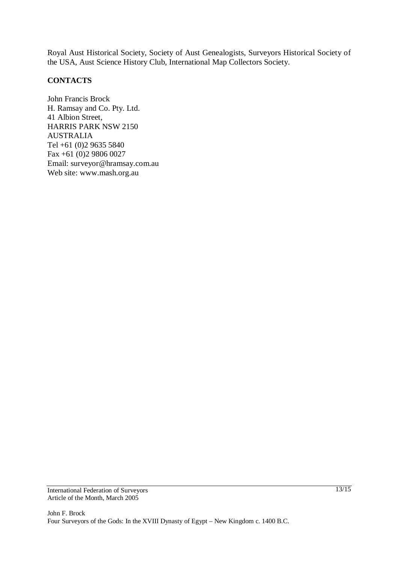Royal Aust Historical Society, Society of Aust Genealogists, Surveyors Historical Society of the USA, Aust Science History Club, International Map Collectors Society.

# **CONTACTS**

John Francis Brock H. Ramsay and Co. Pty. Ltd. 41 Albion Street, HARRIS PARK NSW 2150 AUSTRALIA Tel +61 (0)2 9635 5840 Fax +61 (0)2 9806 0027 Email: surveyor@hramsay.com.au Web site: www.mash.org.au

International Federation of Surveyors Article of the Month, March 2005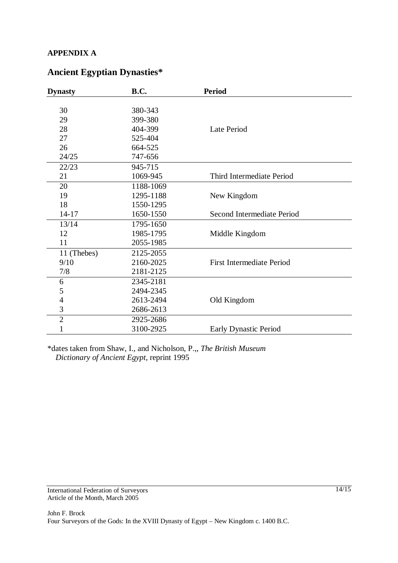# **APPENDIX A**

# **Ancient Egyptian Dynasties\***

| <b>Dynasty</b> | <b>B.C.</b> | <b>Period</b>                    |
|----------------|-------------|----------------------------------|
|                |             |                                  |
| 30             | 380-343     |                                  |
| 29             | 399-380     |                                  |
| 28             | 404-399     | Late Period                      |
| 27             | 525-404     |                                  |
| 26             | 664-525     |                                  |
| 24/25          | 747-656     |                                  |
| 22/23          | 945-715     |                                  |
| 21             | 1069-945    | Third Intermediate Period        |
| 20             | 1188-1069   |                                  |
| 19             | 1295-1188   | New Kingdom                      |
| 18             | 1550-1295   |                                  |
| $14 - 17$      | 1650-1550   | Second Intermediate Period       |
| 13/14          | 1795-1650   |                                  |
| 12             | 1985-1795   | Middle Kingdom                   |
| 11             | 2055-1985   |                                  |
| 11 (Thebes)    | 2125-2055   |                                  |
| 9/10           | 2160-2025   | <b>First Intermediate Period</b> |
| 7/8            | 2181-2125   |                                  |
| 6              | 2345-2181   |                                  |
| 5              | 2494-2345   |                                  |
| 4              | 2613-2494   | Old Kingdom                      |
| 3              | 2686-2613   |                                  |
| $\overline{c}$ | 2925-2686   |                                  |
| 1              | 3100-2925   | <b>Early Dynastic Period</b>     |

\*dates taken from Shaw, I., and Nicholson, P.,, *The British Museum Dictionary of Ancient Egypt*, reprint 1995

International Federation of Surveyors Article of the Month, March 2005